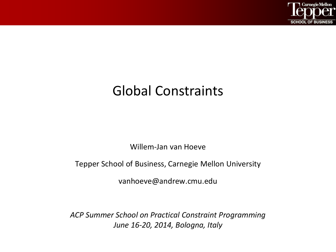

## Global Constraints

Willem-Jan van Hoeve

Tepper School of Business, Carnegie Mellon University

vanhoeve@andrew.cmu.edu

*ACP Summer School on Practical Constraint Programming June 16-20, 2014, Bologna, Italy*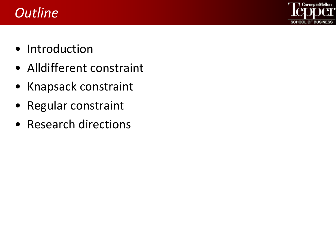## *Outline*



- Introduction
- Alldifferent constraint
- Knapsack constraint
- Regular constraint
- Research directions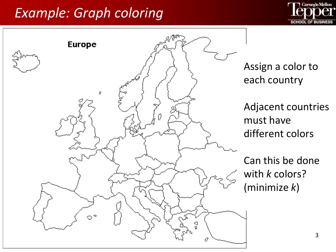## *Example: Graph coloring*





Assign a color to each country

Adjacent countries must have different colors

Can this be done with *k* colors? (minimize *k*)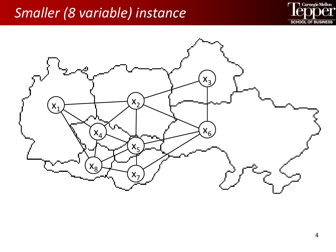## *Smaller (8 variable) instance*



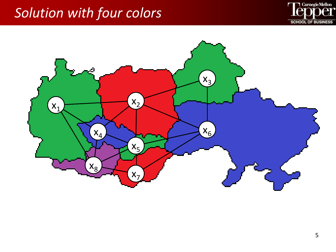## *Solution with four colors*



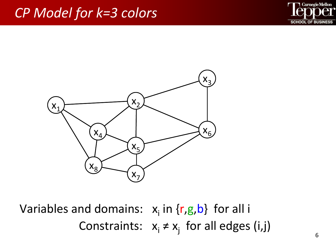#### *CP Model for k=3 colors*





Constraints:  $x_i \neq x_j$  for all edges (i,j) Variables and domains:  $x_i$  in  $\{r,g,b\}$  for all i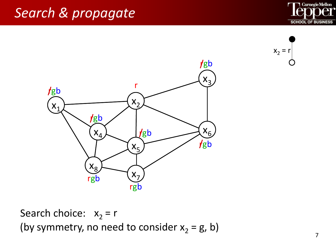





Search choice:  $x_2 = r$ (by symmetry, no need to consider  $x_2 = g$ , b)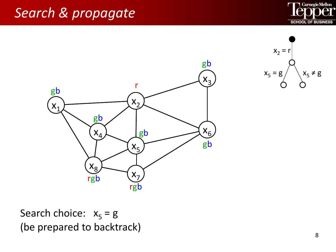





Search choice:  $x_5 = g$ (be prepared to backtrack)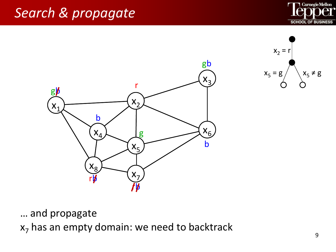





… and propagate

 $x<sub>7</sub>$  has an empty domain: we need to backtrack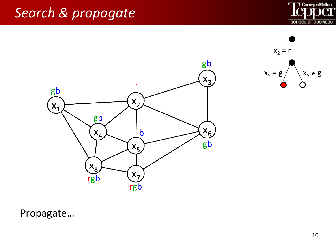





Propagate…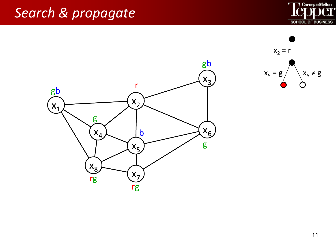



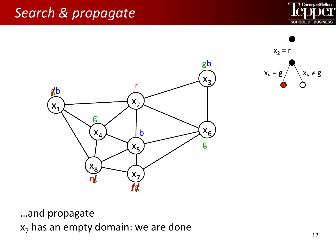





…and propagate  $x<sub>7</sub>$  has an empty domain: we are done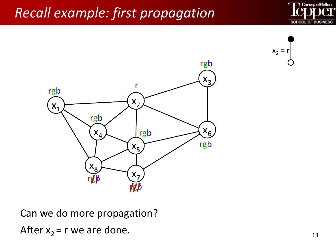# *Recall example: first propagation*







Can we do more propagation? After  $x_2$  = r we are done.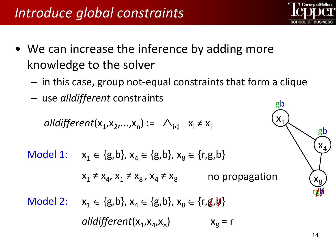- We can increase the inference by adding more knowledge to the solver
	- in this case, group not-equal constraints that form a clique
	- use *alldifferent* constraints

$$
all different(x_1, x_2, ..., x_n) := \bigwedge_{i < j} x_i \neq x_j
$$

Model 1: 
$$
x_1 \in \{g,b\}, x_4 \in \{g,b\}, x_8 \in \{r,g,b\}
$$
  
\n $x_1 \neq x_4, x_1 \neq x_8, x_4 \neq x_8$  no propagation  
\nModel 2:  $x_1 \in \{g,b\}, x_4 \in \{g,b\}, x_8 \in \{r,g,b\}$   
\n*alldifferent*( $x_1, x_4, x_8$ )  $x_8 = r$ 



$$
\begin{matrix}\nx_1 \\
x_4 \\
x_8 \\
x_8 \\
x_9\n\end{matrix}
$$

gb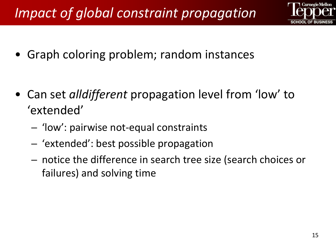# *Impact of global constraint propagation*



• Graph coloring problem; random instances

- Can set *alldifferent* propagation level from 'low' to 'extended'
	- 'low': pairwise not-equal constraints
	- 'extended': best possible propagation
	- notice the difference in search tree size (search choices or failures) and solving time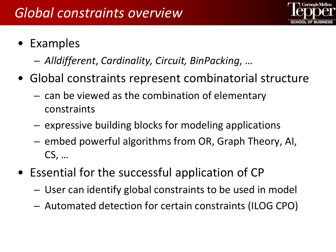

- Examples
	- *Alldifferent*, *Cardinality, Circuit, BinPacking*, …
- Global constraints represent combinatorial structure
	- can be viewed as the combination of elementary constraints
	- expressive building blocks for modeling applications
	- embed powerful algorithms from OR, Graph Theory, AI, CS, …
- Essential for the successful application of CP
	- User can identify global constraints to be used in model
	- Automated detection for certain constraints (ILOG CPO)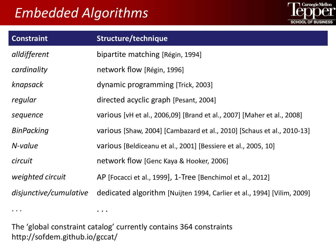## *Embedded Algorithms*



| <b>Constraint</b>      | Structure/technique                                                                         |
|------------------------|---------------------------------------------------------------------------------------------|
| alldifferent           | bipartite matching [Régin, 1994]                                                            |
| cardinality            | network flow [Régin, 1996]                                                                  |
| knapsack               | dynamic programming [Trick, 2003]                                                           |
| regular                | directed acyclic graph [Pesant, 2004]                                                       |
| sequence               | various [vH et al., 2006,09] [Brand et al., 2007] [Maher et al., 2008]                      |
| <b>BinPacking</b>      | various [Shaw, 2004] [Cambazard et al., 2010] [Schaus et al., 2010-13]                      |
| N-value                | various [Beldiceanu et al., 2001] [Bessiere et al., 2005, 10]                               |
| circuit                | network flow [Genc Kaya & Hooker, 2006]                                                     |
| weighted circuit       | AP [Focacci et al., 1999], 1-Tree [Benchimol et al., 2012]                                  |
| disjunctive/cumulative | dedicated algorithm [Nuijten 1994, Carlier et al., 1994] [Vilim, 2009]                      |
| $\cdots$               | $\begin{array}{cccccccccccccc} \bullet & \bullet & \bullet & \bullet & \bullet \end{array}$ |

The 'global constraint catalog' currently contains 364 constraints http://sofdem.github.io/gccat/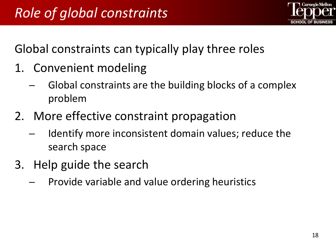

Global constraints can typically play three roles

- 1. Convenient modeling
	- Global constraints are the building blocks of a complex problem
- 2. More effective constraint propagation
	- Identify more inconsistent domain values; reduce the search space
- 3. Help guide the search
	- Provide variable and value ordering heuristics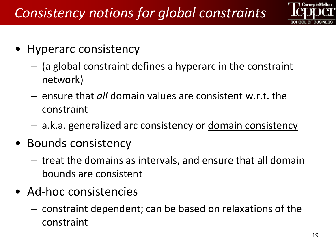

- Hyperarc consistency
	- (a global constraint defines a hyperarc in the constraint network)
	- ensure that *all* domain values are consistent w.r.t. the constraint
	- a.k.a. generalized arc consistency or domain consistency
- Bounds consistency
	- treat the domains as intervals, and ensure that all domain bounds are consistent
- Ad-hoc consistencies
	- constraint dependent; can be based on relaxations of the constraint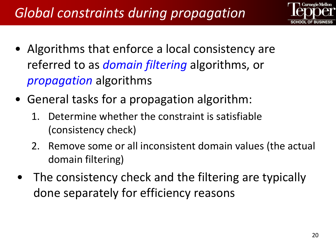

- Algorithms that enforce a local consistency are referred to as *domain filtering* algorithms, or *propagation* algorithms
- General tasks for a propagation algorithm:
	- 1. Determine whether the constraint is satisfiable (consistency check)
	- 2. Remove some or all inconsistent domain values (the actual domain filtering)
	- The consistency check and the filtering are typically done separately for efficiency reasons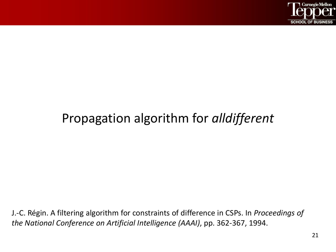

### Propagation algorithm for *alldifferent*

J.-C. Régin. A filtering algorithm for constraints of difference in CSPs. In *Proceedings of the National Conference on Artificial Intelligence (AAAI)*, pp. 362-367, 1994.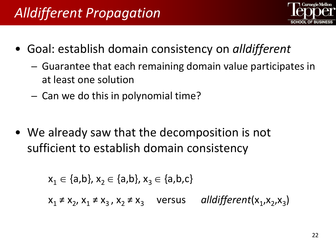

- Goal: establish domain consistency on *alldifferent*
	- Guarantee that each remaining domain value participates in at least one solution
	- Can we do this in polynomial time?
- We already saw that the decomposition is not sufficient to establish domain consistency

$$
x_1 \in \{a,b\}, x_2 \in \{a,b\}, x_3 \in \{a,b,c\}
$$
  
 $x_1 \neq x_2, x_1 \neq x_3, x_2 \neq x_3$  versus *alldifferent* $(x_1, x_2, x_3)$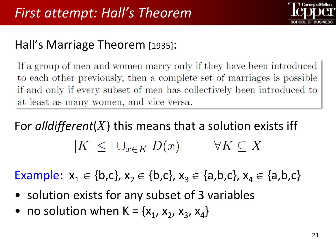

#### Hall's Marriage Theorem [1935]:

If a group of men and women marry only if they have been introduced to each other previously, then a complete set of marriages is possible if and only if every subset of men has collectively been introduced to at least as many women, and vice versa.

# For *alldifferent*(*X*) this means that a solution exists iff  $|K| \leq |\cup_{x \in K} D(x)| \quad \forall K \subseteq X$

Example:  $x_1 \in \{b,c\}$ ,  $x_2 \in \{b,c\}$ ,  $x_3 \in \{a,b,c\}$ ,  $x_4 \in \{a,b,c\}$ 

- solution exists for any subset of 3 variables
- no solution when  $K = \{x_1, x_2, x_3, x_4\}$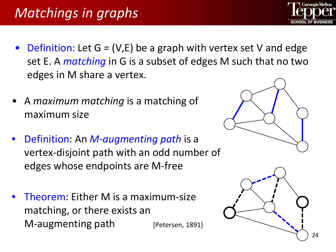# *Matchings in graphs*

- Definition: Let  $G = (V,E)$  be a graph with vertex set V and edge set E. A *matching* in G is a subset of edges M such that no two edges in M share a vertex.
- A *maximum matching* is a matching of maximum size
- Definition: An *M-augmenting path* is a vertex-disjoint path with an odd number of edges whose endpoints are M-free
- Theorem: Either M is a maximum-size matching, or there exists an M-augmenting path [Petersen, 1891]





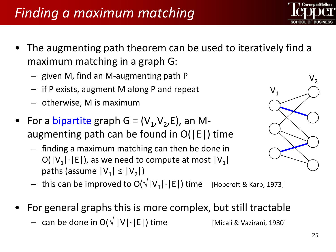## *Finding a maximum matching*

- The augmenting path theorem can be used to iteratively find a maximum matching in a graph G:
	- given M, find an M-augmenting path P
	- if P exists, augment M along P and repeat
	- otherwise, M is maximum
- For a bipartite graph  $G = (V_1, V_2, E)$ , an Maugmenting path can be found in O(|E|) time
	- finding a maximum matching can then be done in  $O(|V_1|\cdot|E|)$ , as we need to compute at most  $|V_1|$ paths (assume  $|V_1| \le |V_2|$ )
	- this can be improved to  $O(\sqrt{|V_1| \cdot |E|})$  time [Hopcroft & Karp, 1973]
- For general graphs this is more complex, but still tractable
	- can be done in O( $\sqrt{|V|}$ ·|E|) time [Micali & Vazirani, 1980]





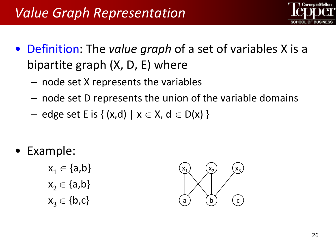

- Definition: The *value graph* of a set of variables X is a bipartite graph (X, D, E) where
	- node set X represents the variables
	- node set D represents the union of the variable domains
	- edge set E is  $\{(x,d) \mid x \in X, d \in D(x)\}\$
- Example:

 $x_1 \in \{a,b\}$  $x_2 \in \{a,b\}$  $x_3 \in \{b,c\}$ 

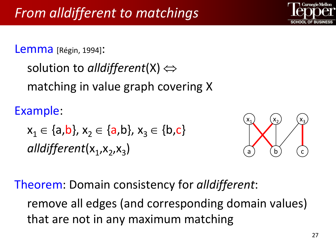Lemma [Régin, 1994]:

```
solution to alldifferent(X) ⇔
matching in value graph covering X
```
Example:

 $x_1 \in \{a,b\}, x_2 \in \{a,b\}, x_3 \in \{b,c\}$ alldifferent(x<sub>1</sub>,x<sub>2</sub>,x<sub>2</sub>)



Theorem: Domain consistency for *alldifferent*:

remove all edges (and corresponding domain values) that are not in any maximum matching

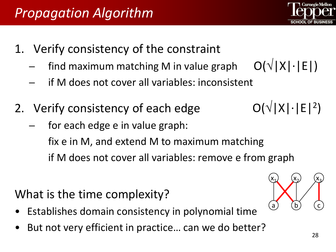$O(\sqrt{|X| \cdot |E|^2})$ 

 $(x_1)$   $(x_2)$   $(x_3)$ 

 $b$ 

- 1. Verify consistency of the constraint
	- find maximum matching M in value graph  $O(\sqrt{|X| \cdot |E|})$
	- if M does not cover all variables: inconsistent
- 2. Verify consistency of each edge
	- for each edge e in value graph: fix e in M, and extend M to maximum matching if M does not cover all variables: remove e from graph

## What is the time complexity?

- Establishes domain consistency in polynomial time
- But not very efficient in practice... can we do better?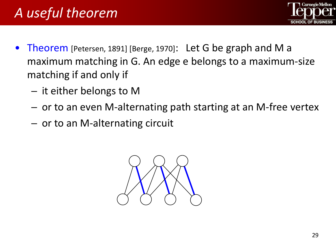

- Theorem [Petersen, 1891] [Berge, 1970]: Let G be graph and M a maximum matching in G. An edge e belongs to a maximum-size matching if and only if
	- it either belongs to M
	- or to an even M-alternating path starting at an M-free vertex
	- or to an M-alternating circuit

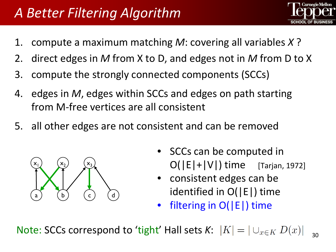# *A Better Filtering Algorithm*

- 
- 1. compute a maximum matching *M*: covering all variables *X* ?
- 2. direct edges in *M* from X to D, and edges not in *M* from D to X
- 3. compute the strongly connected components (SCCs)
- 4. edges in *M*, edges within SCCs and edges on path starting from M-free vertices are all consistent
- 5. all other edges are not consistent and can be removed



- SCCs can be computed in  $O(|E|+|V|)$  time [Tarjan, 1972]
- consistent edges can be identified in O(|E|) time
- filtering in O(|E|) time

Note: SCCs correspond to 'tight' Hall sets  $K: |K| = |\bigcup_{x \in K} D(x)|_{\geq 0}$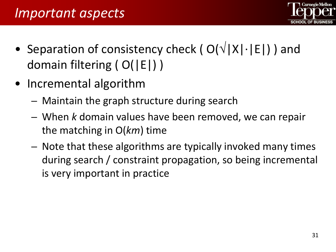- Separation of consistency check ( $O(\sqrt{|X|} \cdot |E|)$ ) and domain filtering ( O(|E|) )
- Incremental algorithm
	- Maintain the graph structure during search
	- When *k* domain values have been removed, we can repair the matching in O(*km*) time
	- Note that these algorithms are typically invoked many times during search / constraint propagation, so being incremental is very important in practice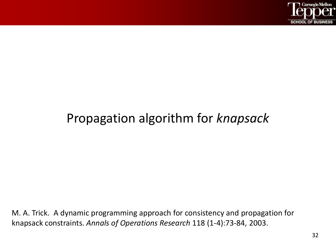

#### Propagation algorithm for *knapsack*

M. A. Trick. A dynamic programming approach for consistency and propagation for knapsack constraints. *Annals of Operations Research* 118 (1-4):73-84, 2003.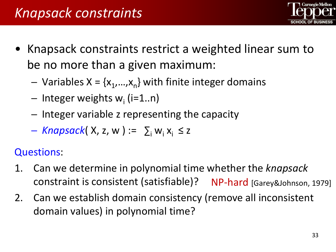

- Knapsack constraints restrict a weighted linear sum to be no more than a given maximum:
	- Variables  $X = \{x_1,...,x_n\}$  with finite integer domains
	- $-$  Integer weights w<sub>i</sub> (i=1..n)
	- Integer variable z representing the capacity
	- $-$  *Knapsack*( X, z, w) :=  $\sum_i w_i x_i \le z$

Questions:

- 1. Can we determine in polynomial time whether the *knapsack* constraint is consistent (satisfiable)? NP-hard [Garey&Johnson, 1979]
- 2. Can we establish domain consistency (remove all inconsistent domain values) in polynomial time?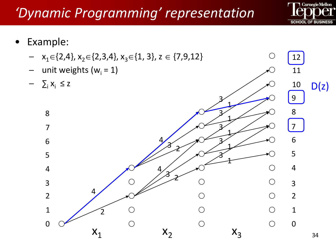# *'Dynamic Programming' representation*



 $\bigcirc$ 

- Example:
	- $x_1 \in \{2,4\}, x_2 \in \{2,3,4\}, x_3 \in \{1, 3\}, z \in \{7,9,12\}$
	- unit weights ( $w_i = 1$ )
	- $\sum_i X_i \leq z$

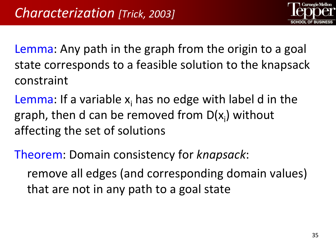

Lemma: Any path in the graph from the origin to a goal state corresponds to a feasible solution to the knapsack constraint

Lemma: If a variable  $x_i$  has no edge with label d in the graph, then d can be removed from D(x<sub>i</sub>) without affecting the set of solutions

Theorem: Domain consistency for *knapsack*: remove all edges (and corresponding domain values) that are not in any path to a goal state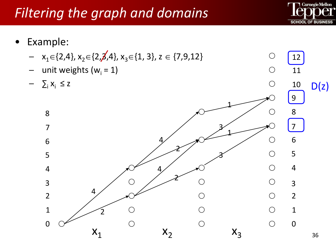# *Filtering the graph and domains*



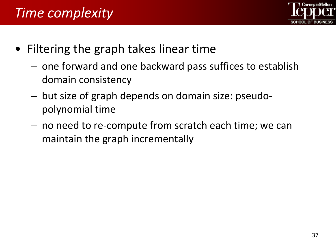# *Time complexity*



- Filtering the graph takes linear time
	- one forward and one backward pass suffices to establish domain consistency
	- but size of graph depends on domain size: pseudopolynomial time
	- no need to re-compute from scratch each time; we can maintain the graph incrementally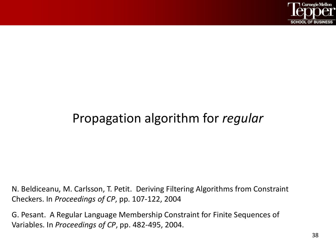

#### Propagation algorithm for *regular*

N. Beldiceanu, M. Carlsson, T. Petit. Deriving Filtering Algorithms from Constraint Checkers. In *Proceedings of CP*, pp. 107-122, 2004

G. Pesant. A Regular Language Membership Constraint for Finite Sequences of Variables. In *Proceedings of CP*, pp. 482-495, 2004.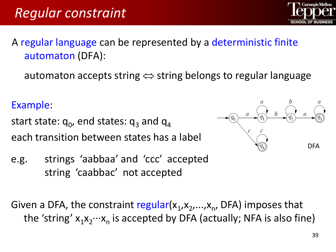A regular language can be represented by a deterministic finite automaton (DFA):

automaton accepts string  $\Leftrightarrow$  string belongs to regular language

Example:

start state:  $q_0$ , end states:  $q_3$  and  $q_4$ each transition between states has a label

e.g. strings 'aabbaa' and 'ccc' accepted string 'caabbac' not accepted

Given a DFA, the constraint regular( $x_1, x_2,...,x_n$ , DFA) imposes that the 'string'  $x_1x_2\cdots x_n$  is accepted by DFA (actually; NFA is also fine)



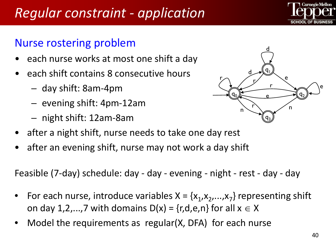# *Regular constraint - application*

#### Nurse rostering problem

- each nurse works at most one shift a day
- each shift contains 8 consecutive hours
	- day shift: 8am-4pm
	- evening shift: 4pm-12am
	- night shift: 12am-8am



- after a night shift, nurse needs to take one day rest
- after an evening shift, nurse may not work a day shift

Feasible (7-day) schedule: day - day - evening - night - rest - day - day

- For each nurse, introduce variables  $X = \{x_1, x_2,...,x_7\}$  representing shift on day 1,2,...,7 with domains  $D(x) = {r,d,e,n}$  for all  $x \in X$
- Model the requirements as regular(X, DFA) for each nurse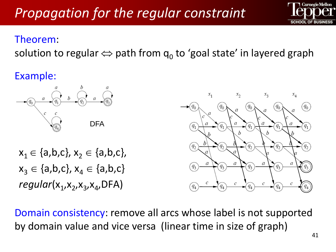#### Theorem:

solution to regular  $\Leftrightarrow$  path from  $q_0$  to 'goal state' in layered graph

#### Example:



 $x_1 \in \{a,b,c\}, x_2 \in \{a,b,c\},$  $x_3 \in \{a,b,c\}, x_4 \in \{a,b,c\}$ *regular*(x<sub>1</sub>,x<sub>2</sub>,x<sub>3</sub>,x<sub>4</sub>,DFA)



Domain consistency: remove all arcs whose label is not supported by domain value and vice versa (linear time in size of graph)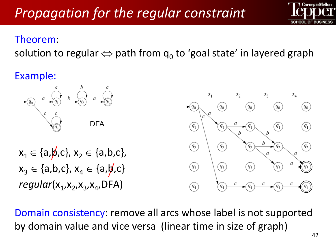#### Theorem:

solution to regular  $\Leftrightarrow$  path from  $q_0$  to 'goal state' in layered graph

#### Example:



Domain consistency: remove all arcs whose label is not supported by domain value and vice versa (linear time in size of graph)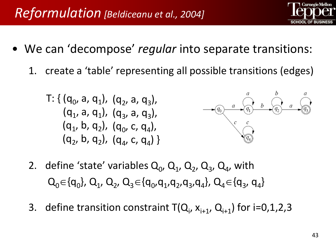- We can 'decompose' *regular* into separate transitions:
	- 1. create a 'table' representing all possible transitions (edges)

T: { 
$$
(q_0, a, q_1)
$$
,  $(q_2, a, q_3)$ ,  
\n $(q_1, a, q_1)$ ,  $(q_3, a, q_3)$ ,  
\n $(q_1, b, q_2)$ ,  $(q_0, c, q_4)$ ,  
\n $(q_2, b, q_2)$ ,  $(q_4, c, q_4)$  }



- 2. define 'state' variables  $Q_0$ ,  $Q_1$ ,  $Q_2$ ,  $Q_3$ ,  $Q_4$ , with  $Q_0 \in \{q_0\}$ ,  $Q_1$ ,  $Q_2$ ,  $Q_3 \in \{q_0, q_1, q_2, q_3, q_4\}$ ,  $Q_4 \in \{q_3, q_4\}$
- 3. define transition constraint  $T(Q_i, x_{i+1}, Q_{i+1})$  for i=0,1,2,3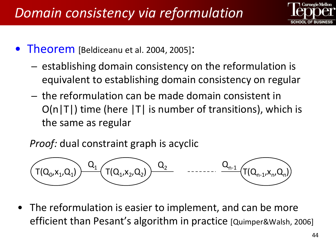

- **Theorem** [Beldiceanu et al. 2004, 2005]:
	- establishing domain consistency on the reformulation is equivalent to establishing domain consistency on regular
	- the reformulation can be made domain consistent in  $O(n|T|)$  time (here  $|T|$  is number of transitions), which is the same as regular

*Proof:* dual constraint graph is acyclic



The reformulation is easier to implement, and can be more efficient than Pesant's algorithm in practice [Quimper&Walsh, 2006]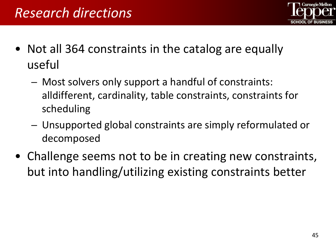

- Not all 364 constraints in the catalog are equally useful
	- Most solvers only support a handful of constraints: alldifferent, cardinality, table constraints, constraints for scheduling
	- Unsupported global constraints are simply reformulated or decomposed
- Challenge seems not to be in creating new constraints, but into handling/utilizing existing constraints better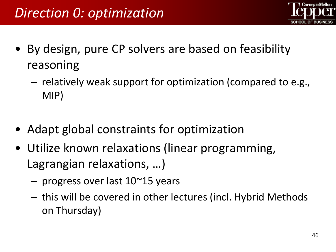

- By design, pure CP solvers are based on feasibility reasoning
	- relatively weak support for optimization (compared to e.g., MIP)
- Adapt global constraints for optimization
- Utilize known relaxations (linear programming, Lagrangian relaxations, …)
	- progress over last 10~15 years
	- this will be covered in other lectures (incl. Hybrid Methods on Thursday)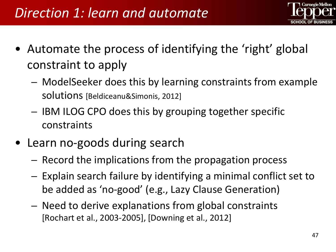

- Automate the process of identifying the 'right' global constraint to apply
	- ModelSeeker does this by learning constraints from example solutions [Beldiceanu&Simonis, 2012]
	- IBM ILOG CPO does this by grouping together specific constraints
- Learn no-goods during search
	- Record the implications from the propagation process
	- Explain search failure by identifying a minimal conflict set to be added as 'no-good' (e.g., Lazy Clause Generation)
	- Need to derive explanations from global constraints [Rochart et al., 2003-2005], [Downing et al., 2012]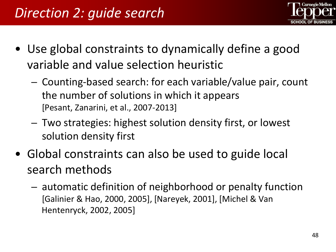

- Use global constraints to dynamically define a good variable and value selection heuristic
	- Counting-based search: for each variable/value pair, count the number of solutions in which it appears [Pesant, Zanarini, et al., 2007-2013]
	- Two strategies: highest solution density first, or lowest solution density first
- Global constraints can also be used to guide local search methods
	- automatic definition of neighborhood or penalty function [Galinier & Hao, 2000, 2005], [Nareyek, 2001], [Michel & Van Hentenryck, 2002, 2005]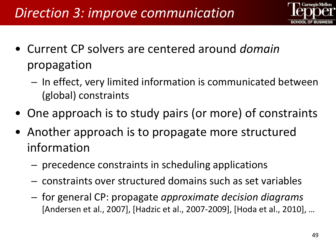

- Current CP solvers are centered around *domain* propagation
	- In effect, very limited information is communicated between (global) constraints
- One approach is to study pairs (or more) of constraints
- Another approach is to propagate more structured information
	- precedence constraints in scheduling applications
	- constraints over structured domains such as set variables
	- for general CP: propagate *approximate decision diagrams*  [Andersen et al., 2007], [Hadzic et al., 2007-2009], [Hoda et al., 2010], …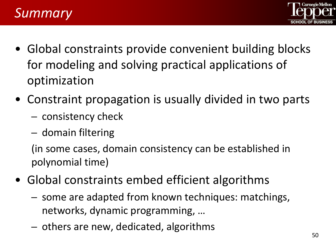

- *Summary*
- Global constraints provide convenient building blocks for modeling and solving practical applications of optimization
- Constraint propagation is usually divided in two parts
	- consistency check
	- domain filtering

(in some cases, domain consistency can be established in polynomial time)

- Global constraints embed efficient algorithms
	- some are adapted from known techniques: matchings, networks, dynamic programming, …
	- others are new, dedicated, algorithms